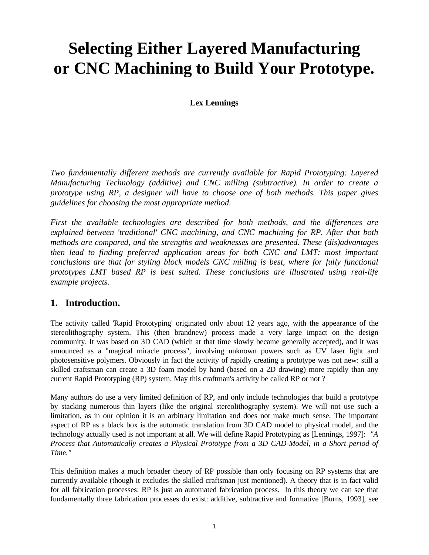# **Selecting Either Layered Manufacturing or CNC Machining to Build Your Prototype.**

### **Lex Lennings**

*Two fundamentally different methods are currently available for Rapid Prototyping: Layered Manufacturing Technology (additive) and CNC milling (subtractive). In order to create a prototype using RP, a designer will have to choose one of both methods. This paper gives guidelines for choosing the most appropriate method.*

*First the available technologies are described for both methods, and the differences are explained between 'traditional' CNC machining, and CNC machining for RP. After that both methods are compared, and the strengths and weaknesses are presented. These (dis)advantages then lead to finding preferred application areas for both CNC and LMT: most important conclusions are that for styling block models CNC milling is best, where for fully functional prototypes LMT based RP is best suited. These conclusions are illustrated using real-life example projects.*

# **1. Introduction.**

The activity called 'Rapid Prototyping' originated only about 12 years ago, with the appearance of the stereolithography system. This (then brandnew) process made a very large impact on the design community. It was based on 3D CAD (which at that time slowly became generally accepted), and it was announced as a "magical miracle process", involving unknown powers such as UV laser light and photosensitive polymers. Obviously in fact the activity of rapidly creating a prototype was not new: still a skilled craftsman can create a 3D foam model by hand (based on a 2D drawing) more rapidly than any current Rapid Prototyping (RP) system. May this craftman's activity be called RP or not ?

Many authors do use a very limited definition of RP, and only include technologies that build a prototype by stacking numerous thin layers (like the original stereolithography system). We will not use such a limitation, as in our opinion it is an arbitrary limitation and does not make much sense. The important aspect of RP as a black box is the automatic translation from 3D CAD model to physical model, and the technology actually used is not important at all. We will define Rapid Prototyping as [Lennings, 1997]: *"A Process that Automatically creates a Physical Prototype from a 3D CAD-Model, in a Short period of Time."*

This definition makes a much broader theory of RP possible than only focusing on RP systems that are currently available (though it excludes the skilled craftsman just mentioned). A theory that is in fact valid for all fabrication processes: RP is just an automated fabrication process. In this theory we can see that fundamentally three fabrication processes do exist: additive, subtractive and formative [Burns, 1993], see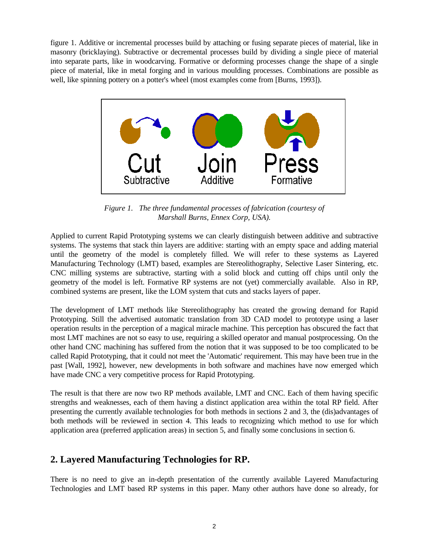figure 1. Additive or incremental processes build by attaching or fusing separate pieces of material, like in masonry (bricklaying). Subtractive or decremental processes build by dividing a single piece of material into separate parts, like in woodcarving. Formative or deforming processes change the shape of a single piece of material, like in metal forging and in various moulding processes. Combinations are possible as well, like spinning pottery on a potter's wheel (most examples come from [Burns, 1993]).



*Figure 1. The three fundamental processes of fabrication (courtesy of Marshall Burns, Ennex Corp, USA).*

Applied to current Rapid Prototyping systems we can clearly distinguish between additive and subtractive systems. The systems that stack thin layers are additive: starting with an empty space and adding material until the geometry of the model is completely filled. We will refer to these systems as Layered Manufacturing Technology (LMT) based, examples are Stereolithography, Selective Laser Sintering, etc. CNC milling systems are subtractive, starting with a solid block and cutting off chips until only the geometry of the model is left. Formative RP systems are not (yet) commercially available. Also in RP, combined systems are present, like the LOM system that cuts and stacks layers of paper.

The development of LMT methods like Stereolithography has created the growing demand for Rapid Prototyping. Still the advertised automatic translation from 3D CAD model to prototype using a laser operation results in the perception of a magical miracle machine. This perception has obscured the fact that most LMT machines are not so easy to use, requiring a skilled operator and manual postprocessing. On the other hand CNC machining has suffered from the notion that it was supposed to be too complicated to be called Rapid Prototyping, that it could not meet the 'Automatic' requirement. This may have been true in the past [Wall, 1992], however, new developments in both software and machines have now emerged which have made CNC a very competitive process for Rapid Prototyping.

The result is that there are now two RP methods available, LMT and CNC. Each of them having specific strengths and weaknesses, each of them having a distinct application area within the total RP field. After presenting the currently available technologies for both methods in sections 2 and 3, the (dis)advantages of both methods will be reviewed in section 4. This leads to recognizing which method to use for which application area (preferred application areas) in section 5, and finally some conclusions in section 6.

# **2. Layered Manufacturing Technologies for RP.**

There is no need to give an in-depth presentation of the currently available Layered Manufacturing Technologies and LMT based RP systems in this paper. Many other authors have done so already, for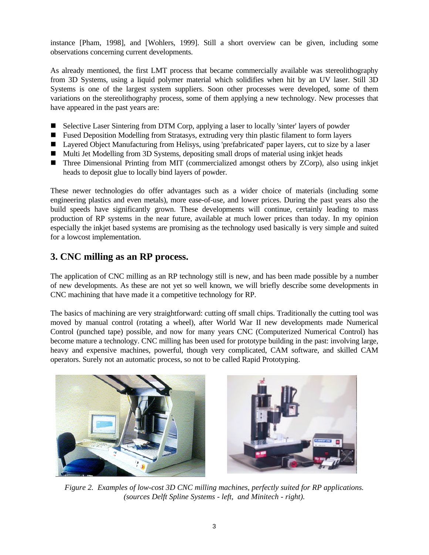instance [Pham, 1998], and [Wohlers, 1999]. Still a short overview can be given, including some observations concerning current developments.

As already mentioned, the first LMT process that became commercially available was stereolithography from 3D Systems, using a liquid polymer material which solidifies when hit by an UV laser. Still 3D Systems is one of the largest system suppliers. Soon other processes were developed, some of them variations on the stereolithography process, some of them applying a new technology. New processes that have appeared in the past years are:

- Selective Laser Sintering from DTM Corp, applying a laser to locally 'sinter' layers of powder
- Fused Deposition Modelling from Stratasys, extruding very thin plastic filament to form layers
- Layered Object Manufacturing from Helisys, using 'prefabricated' paper layers, cut to size by a laser
- Multi Jet Modelling from 3D Systems, depositing small drops of material using inkjet heads
- Three Dimensional Printing from MIT (commercialized amongst others by ZCorp), also using inkjet heads to deposit glue to locally bind layers of powder.

These newer technologies do offer advantages such as a wider choice of materials (including some engineering plastics and even metals), more ease-of-use, and lower prices. During the past years also the build speeds have significantly grown. These developments will continue, certainly leading to mass production of RP systems in the near future, available at much lower prices than today. In my opinion especially the inkjet based systems are promising as the technology used basically is very simple and suited for a lowcost implementation.

# **3. CNC milling as an RP process.**

The application of CNC milling as an RP technology still is new, and has been made possible by a number of new developments. As these are not yet so well known, we will briefly describe some developments in CNC machining that have made it a competitive technology for RP.

The basics of machining are very straightforward: cutting off small chips. Traditionally the cutting tool was moved by manual control (rotating a wheel), after World War II new developments made Numerical Control (punched tape) possible, and now for many years CNC (Computerized Numerical Control) has become mature a technology. CNC milling has been used for prototype building in the past: involving large, heavy and expensive machines, powerful, though very complicated, CAM software, and skilled CAM operators. Surely not an automatic process, so not to be called Rapid Prototyping.





*Figure 2. Examples of low-cost 3D CNC milling machines, perfectly suited for RP applications. (sources Delft Spline Systems - left, and Minitech - right).*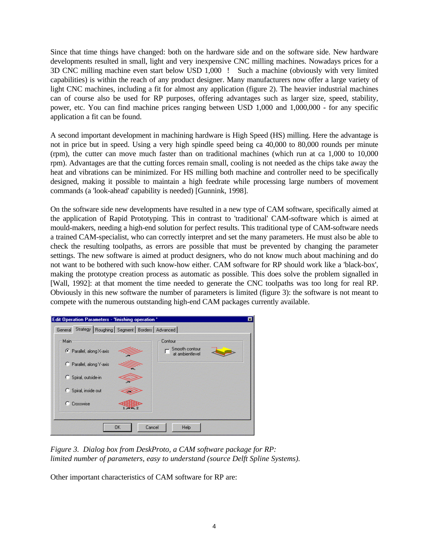Since that time things have changed: both on the hardware side and on the software side. New hardware developments resulted in small, light and very inexpensive CNC milling machines. Nowadays prices for a 3D CNC milling machine even start below USD 1,000 ! Such a machine (obviously with very limited capabilities) is within the reach of any product designer. Many manufacturers now offer a large variety of light CNC machines, including a fit for almost any application (figure 2). The heavier industrial machines can of course also be used for RP purposes, offering advantages such as larger size, speed, stability, power, etc. You can find machine prices ranging between USD 1,000 and 1,000,000 - for any specific application a fit can be found.

A second important development in machining hardware is High Speed (HS) milling. Here the advantage is not in price but in speed. Using a very high spindle speed being ca 40,000 to 80,000 rounds per minute (rpm), the cutter can move much faster than on traditional machines (which run at ca 1,000 to 10,000 rpm). Advantages are that the cutting forces remain small, cooling is not needed as the chips take away the heat and vibrations can be minimized. For HS milling both machine and controller need to be specifically designed, making it possible to maintain a high feedrate while processing large numbers of movement commands (a 'look-ahead' capability is needed) [Gunnink, 1998].

On the software side new developments have resulted in a new type of CAM software, specifically aimed at the application of Rapid Prototyping. This in contrast to 'traditional' CAM-software which is aimed at mould-makers, needing a high-end solution for perfect results. This traditional type of CAM-software needs a trained CAM-specialist, who can correctly interpret and set the many parameters. He must also be able to check the resulting toolpaths, as errors are possible that must be prevented by changing the parameter settings. The new software is aimed at product designers, who do not know much about machining and do not want to be bothered with such know-how either. CAM software for RP should work like a 'black-box', making the prototype creation process as automatic as possible. This does solve the problem signalled in [Wall, 1992]: at that moment the time needed to generate the CNC toolpaths was too long for real RP. Obviously in this new software the number of parameters is limited (figure 3): the software is not meant to compete with the numerous outstanding high-end CAM packages currently available.



*Figure 3. Dialog box from DeskProto, a CAM software package for RP: limited number of parameters, easy to understand (source Delft Spline Systems).*

Other important characteristics of CAM software for RP are: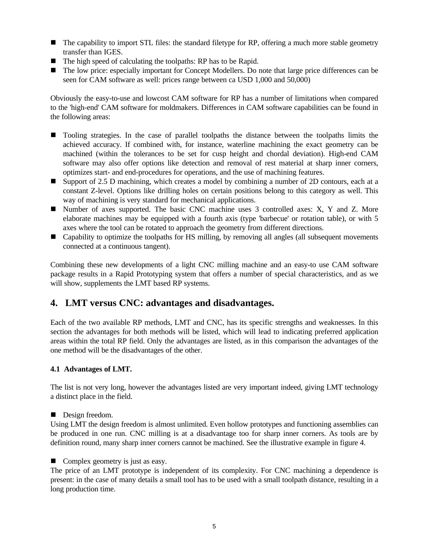- $\blacksquare$  The capability to import STL files: the standard filetype for RP, offering a much more stable geometry transfer than IGES.
- $\blacksquare$  The high speed of calculating the toolpaths: RP has to be Rapid.
- The low price: especially important for Concept Modellers. Do note that large price differences can be seen for CAM software as well: prices range between ca USD 1,000 and 50,000)

Obviously the easy-to-use and lowcost CAM software for RP has a number of limitations when compared to the 'high-end' CAM software for moldmakers. Differences in CAM software capabilities can be found in the following areas:

- Tooling strategies. In the case of parallel toolpaths the distance between the toolpaths limits the achieved accuracy. If combined with, for instance, waterline machining the exact geometry can be machined (within the tolerances to be set for cusp height and chordal deviation). High-end CAM software may also offer options like detection and removal of rest material at sharp inner corners, optimizes start- and end-procedures for operations, and the use of machining features.
- Support of 2.5 D machining, which creates a model by combining a number of 2D contours, each at a constant Z-level. Options like drilling holes on certain positions belong to this category as well. This way of machining is very standard for mechanical applications.
- n Number of axes supported. The basic CNC machine uses 3 controlled axes: X, Y and Z. More elaborate machines may be equipped with a fourth axis (type 'barbecue' or rotation table), or with 5 axes where the tool can be rotated to approach the geometry from different directions.
- Capability to optimize the toolpaths for HS milling, by removing all angles (all subsequent movements connected at a continuous tangent).

Combining these new developments of a light CNC milling machine and an easy-to use CAM software package results in a Rapid Prototyping system that offers a number of special characteristics, and as we will show, supplements the LMT based RP systems.

# **4. LMT versus CNC: advantages and disadvantages.**

Each of the two available RP methods, LMT and CNC, has its specific strengths and weaknesses. In this section the advantages for both methods will be listed, which will lead to indicating preferred application areas within the total RP field. Only the advantages are listed, as in this comparison the advantages of the one method will be the disadvantages of the other.

#### **4.1 Advantages of LMT.**

The list is not very long, however the advantages listed are very important indeed, giving LMT technology a distinct place in the field.

Design freedom.

Using LMT the design freedom is almost unlimited. Even hollow prototypes and functioning assemblies can be produced in one run. CNC milling is at a disadvantage too for sharp inner corners. As tools are by definition round, many sharp inner corners cannot be machined. See the illustrative example in figure 4.

 $\blacksquare$  Complex geometry is just as easy.

The price of an LMT prototype is independent of its complexity. For CNC machining a dependence is present: in the case of many details a small tool has to be used with a small toolpath distance, resulting in a long production time.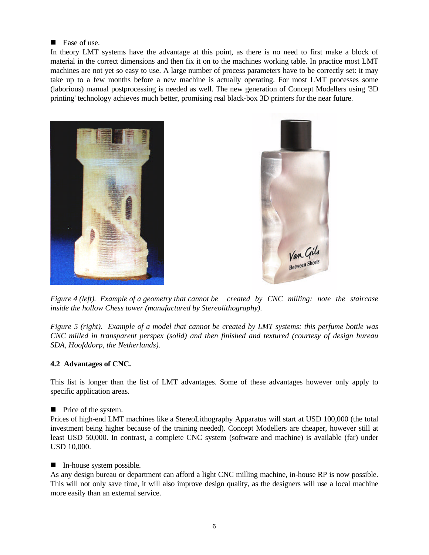#### ■ Ease of use.

In theory LMT systems have the advantage at this point, as there is no need to first make a block of material in the correct dimensions and then fix it on to the machines working table. In practice most LMT machines are not yet so easy to use. A large number of process parameters have to be correctly set: it may take up to a few months before a new machine is actually operating. For most LMT processes some (laborious) manual postprocessing is needed as well. The new generation of Concept Modellers using '3D printing' technology achieves much better, promising real black-box 3D printers for the near future.





*Figure 4 (left). Example of a geometry that cannot be created by CNC milling: note the staircase inside the hollow Chess tower (manufactured by Stereolithography).*

*Figure 5 (right). Example of a model that cannot be created by LMT systems: this perfume bottle was CNC milled in transparent perspex (solid) and then finished and textured (courtesy of design bureau SDA, Hoofddorp, the Netherlands).*

#### **4.2 Advantages of CNC.**

This list is longer than the list of LMT advantages. Some of these advantages however only apply to specific application areas.

#### $\blacksquare$  Price of the system.

Prices of high-end LMT machines like a StereoLithography Apparatus will start at USD 100,000 (the total investment being higher because of the training needed). Concept Modellers are cheaper, however still at least USD 50,000. In contrast, a complete CNC system (software and machine) is available (far) under USD 10,000.

#### $\blacksquare$  In-house system possible.

As any design bureau or department can afford a light CNC milling machine, in-house RP is now possible. This will not only save time, it will also improve design quality, as the designers will use a local machine more easily than an external service.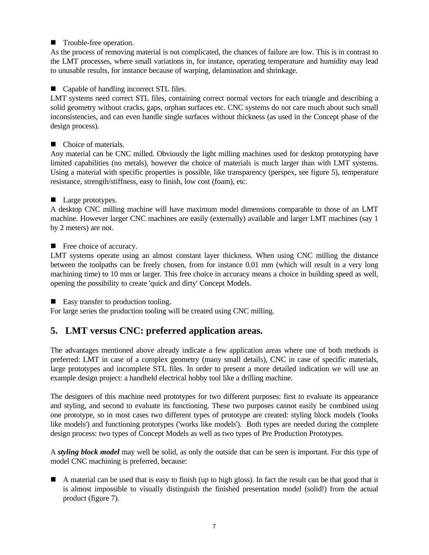#### ■ Trouble-free operation.

As the process of removing material is not complicated, the chances of failure are low. This is in contrast to the LMT processes, where small variations in, for instance, operating temperature and humidity may lead to unusable results, for instance because of warping, delamination and shrinkage.

#### ■ Capable of handling incorrect STL files.

LMT systems need correct STL files, containing correct normal vectors for each triangle and describing a solid geometry without cracks, gaps, orphan surfaces etc. CNC systems do not care much about such small inconsistencies, and can even handle single surfaces without thickness (as used in the Concept phase of the design process).

#### ■ Choice of materials.

Any material can be CNC milled. Obviously the light milling machines used for desktop prototyping have limited capabilities (no metals), however the choice of materials is much larger than with LMT systems. Using a material with specific properties is possible, like transparency (perspex, see figure 5), temperature resistance, strength/stiffness, easy to finish, low cost (foam), etc.

#### **Large prototypes.**

A desktop CNC milling machine will have maximum model dimensions comparable to those of an LMT machine. However larger CNC machines are easily (externally) available and larger LMT machines (say 1 by 2 meters) are not.

#### $\blacksquare$  Free choice of accuracy.

LMT systems operate using an almost constant layer thickness. When using CNC milling the distance between the toolpaths can be freely chosen, from for instance 0.01 mm (which will result in a very long machining time) to 10 mm or larger. This free choice in accuracy means a choice in building speed as well, opening the possibility to create 'quick and dirty' Concept Models.

■ Easy transfer to production tooling.

For large series the production tooling will be created using CNC milling.

# **5. LMT versus CNC: preferred application areas.**

The advantages mentioned above already indicate a few application areas where one of both methods is preferred: LMT in case of a complex geometry (many small details), CNC in case of specific materials, large prototypes and incomplete STL files. In order to present a more detailed indication we will use an example design project: a handheld electrical hobby tool like a drilling machine.

The designers of this machine need prototypes for two different purposes: first to evaluate its appearance and styling, and second to evaluate its functioning. These two purposes cannot easily be combined using one prototype, so in most cases two different types of prototype are created: styling block models ('looks like models') and functioning prototypes ('works like models'). Both types are needed during the complete design process: two types of Concept Models as well as two types of Pre Production Prototypes.

A *styling block model* may well be solid, as only the outside that can be seen is important. For this type of model CNC machining is preferred, because:

n A material can be used that is easy to finish (up to high gloss). In fact the result can be that good that it is almost impossible to visually distinguish the finished presentation model (solid!) from the actual product (figure 7).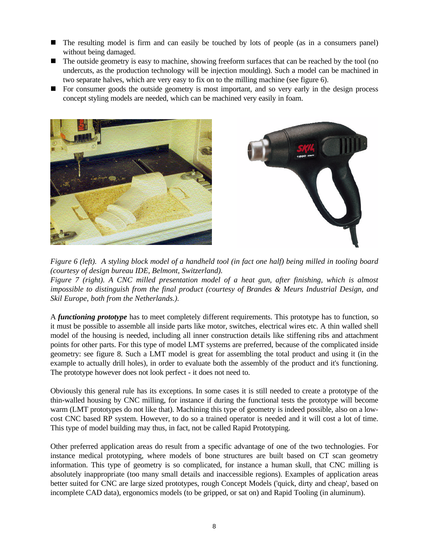- The resulting model is firm and can easily be touched by lots of people (as in a consumers panel) without being damaged.
- $\blacksquare$  The outside geometry is easy to machine, showing freeform surfaces that can be reached by the tool (no undercuts, as the production technology will be injection moulding). Such a model can be machined in two separate halves, which are very easy to fix on to the milling machine (see figure 6).
- For consumer goods the outside geometry is most important, and so very early in the design process concept styling models are needed, which can be machined very easily in foam.



*Figure 6 (left). A styling block model of a handheld tool (in fact one half) being milled in tooling board (courtesy of design bureau IDE, Belmont, Switzerland).*

*Figure 7 (right). A CNC milled presentation model of a heat gun, after finishing, which is almost impossible to distinguish from the final product (courtesy of Brandes & Meurs Industrial Design, and Skil Europe, both from the Netherlands.).*

A *functioning prototype* has to meet completely different requirements. This prototype has to function, so it must be possible to assemble all inside parts like motor, switches, electrical wires etc. A thin walled shell model of the housing is needed, including all inner construction details like stiffening ribs and attachment points for other parts. For this type of model LMT systems are preferred, because of the complicated inside geometry: see figure 8. Such a LMT model is great for assembling the total product and using it (in the example to actually drill holes), in order to evaluate both the assembly of the product and it's functioning. The prototype however does not look perfect - it does not need to.

Obviously this general rule has its exceptions. In some cases it is still needed to create a prototype of the thin-walled housing by CNC milling, for instance if during the functional tests the prototype will become warm (LMT prototypes do not like that). Machining this type of geometry is indeed possible, also on a lowcost CNC based RP system. However, to do so a trained operator is needed and it will cost a lot of time. This type of model building may thus, in fact, not be called Rapid Prototyping.

Other preferred application areas do result from a specific advantage of one of the two technologies. For instance medical prototyping, where models of bone structures are built based on CT scan geometry information. This type of geometry is so complicated, for instance a human skull, that CNC milling is absolutely inappropriate (too many small details and inaccessible regions). Examples of application areas better suited for CNC are large sized prototypes, rough Concept Models ('quick, dirty and cheap', based on incomplete CAD data), ergonomics models (to be gripped, or sat on) and Rapid Tooling (in aluminum).